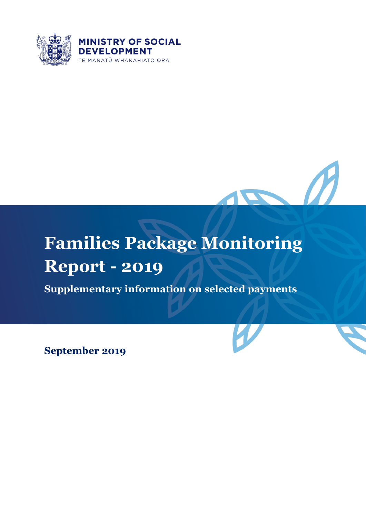



# **Families Package Monitoring Report - 2019**

**Supplementary information on selected payments**

**September 2019**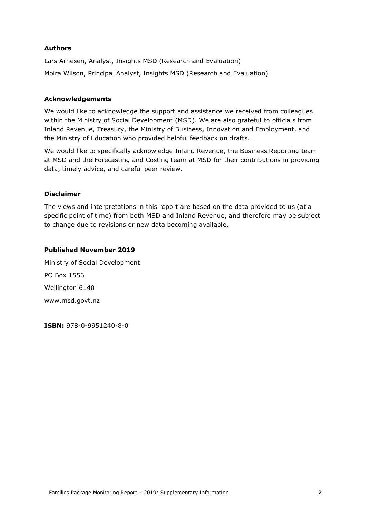#### **Authors**

Lars Arnesen, Analyst, Insights MSD (Research and Evaluation) Moira Wilson, Principal Analyst, Insights MSD (Research and Evaluation)

#### **Acknowledgements**

We would like to acknowledge the support and assistance we received from colleagues within the Ministry of Social Development (MSD). We are also grateful to officials from Inland Revenue, Treasury, the Ministry of Business, Innovation and Employment, and the Ministry of Education who provided helpful feedback on drafts.

We would like to specifically acknowledge Inland Revenue, the Business Reporting team at MSD and the Forecasting and Costing team at MSD for their contributions in providing data, timely advice, and careful peer review.

#### **Disclaimer**

The views and interpretations in this report are based on the data provided to us (at a specific point of time) from both MSD and Inland Revenue, and therefore may be subject to change due to revisions or new data becoming available.

#### **Published November 2019**

Ministry of Social Development PO Box 1556 Wellington 6140 www.msd.govt.nz

**ISBN:** 978-0-9951240-8-0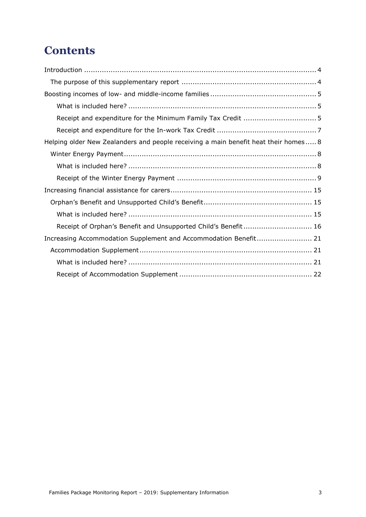## **Contents**

| Helping older New Zealanders and people receiving a main benefit heat their homes 8 |
|-------------------------------------------------------------------------------------|
|                                                                                     |
|                                                                                     |
|                                                                                     |
|                                                                                     |
|                                                                                     |
|                                                                                     |
| Receipt of Orphan's Benefit and Unsupported Child's Benefit 16                      |
| Increasing Accommodation Supplement and Accommodation Benefit 21                    |
|                                                                                     |
|                                                                                     |
|                                                                                     |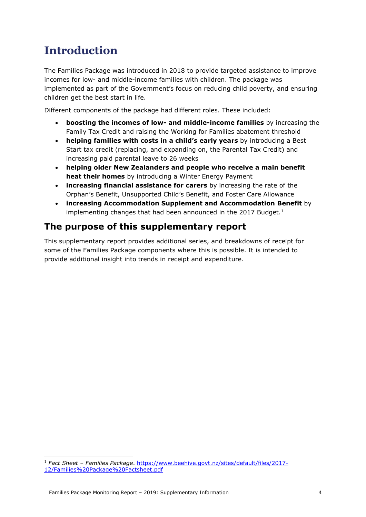## <span id="page-3-0"></span>**Introduction**

The Families Package was introduced in 2018 to provide targeted assistance to improve incomes for low- and middle-income families with children. The package was implemented as part of the Government's focus on reducing child poverty, and ensuring children get the best start in life.

Different components of the package had different roles. These included:

- **boosting the incomes of low- and middle-income families** by increasing the Family Tax Credit and raising the Working for Families abatement threshold
- **helping families with costs in a child's early years** by introducing a Best Start tax credit (replacing, and expanding on, the Parental Tax Credit) and increasing paid parental leave to 26 weeks
- **helping older New Zealanders and people who receive a main benefit heat their homes** by introducing a Winter Energy Payment
- **increasing financial assistance for carers** by increasing the rate of the Orphan's Benefit, Unsupported Child's Benefit, and Foster Care Allowance
- **increasing Accommodation Supplement and Accommodation Benefit** by implementing changes that had been announced in the  $2017$  Budget.<sup>1</sup>

## <span id="page-3-1"></span>**The purpose of this supplementary report**

This supplementary report provides additional series, and breakdowns of receipt for some of the Families Package components where this is possible. It is intended to provide additional insight into trends in receipt and expenditure.

<sup>-</sup><sup>1</sup> *Fact Sheet – Families Package*. [https://www.beehive.govt.nz/sites/default/files/2017-](https://www.beehive.govt.nz/sites/default/files/2017-12/Families%20Package%20Factsheet.pdf) [12/Families%20Package%20Factsheet.pdf](https://www.beehive.govt.nz/sites/default/files/2017-12/Families%20Package%20Factsheet.pdf)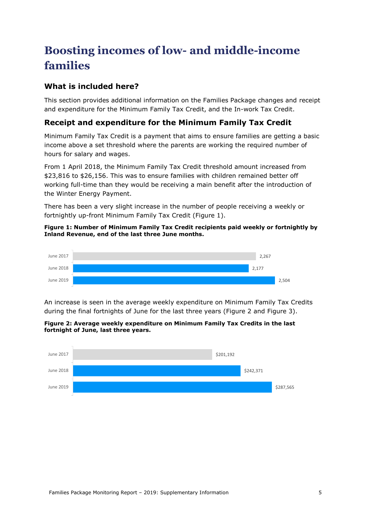## <span id="page-4-0"></span>**Boosting incomes of low- and middle-income families**

## <span id="page-4-1"></span>**What is included here?**

This section provides additional information on the Families Package changes and receipt and expenditure for the Minimum Family Tax Credit, and the In-work Tax Credit.

## <span id="page-4-2"></span>**Receipt and expenditure for the Minimum Family Tax Credit**

Minimum Family Tax Credit is a payment that aims to ensure families are getting a basic income above a set threshold where the parents are working the required number of hours for salary and wages.

From 1 April 2018, the Minimum Family Tax Credit threshold amount increased from \$23,816 to \$26,156. This was to ensure families with children remained better off working full-time than they would be receiving a main benefit after the introduction of the Winter Energy Payment.

There has been a very slight increase in the number of people receiving a weekly or fortnightly up-front Minimum Family Tax Credit [\(Figure 1\)](#page-4-3).

#### <span id="page-4-3"></span>**Figure 1: Number of Minimum Family Tax Credit recipients paid weekly or fortnightly by Inland Revenue, end of the last three June months.**



An increase is seen in the average weekly expenditure on Minimum Family Tax Credits during the final fortnights of June for the last three years [\(Figure 2](#page-4-4) and [Figure 3\)](#page-5-0).

<span id="page-4-4"></span>

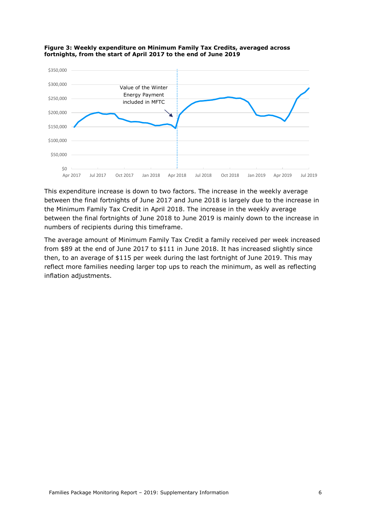

<span id="page-5-0"></span>

This expenditure increase is down to two factors. The increase in the weekly average between the final fortnights of June 2017 and June 2018 is largely due to the increase in the Minimum Family Tax Credit in April 2018. The increase in the weekly average between the final fortnights of June 2018 to June 2019 is mainly down to the increase in numbers of recipients during this timeframe.

The average amount of Minimum Family Tax Credit a family received per week increased from \$89 at the end of June 2017 to \$111 in June 2018. It has increased slightly since then, to an average of \$115 per week during the last fortnight of June 2019. This may reflect more families needing larger top ups to reach the minimum, as well as reflecting inflation adjustments.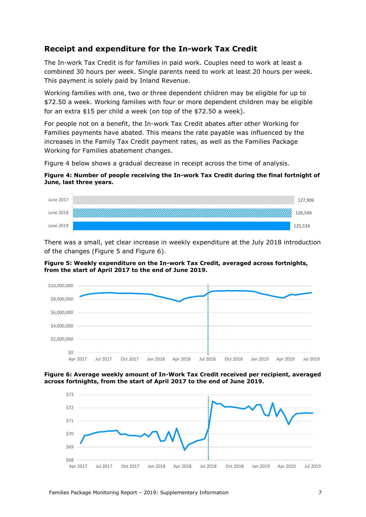## <span id="page-6-0"></span>**Receipt and expenditure for the In-work Tax Credit**

The In-work Tax Credit is for families in paid work. Couples need to work at least a combined 30 hours per week. Single parents need to work at least 20 hours per week. This payment is solely paid by Inland Revenue.

Working families with one, two or three dependent children may be eligible for up to \$72.50 a week. Working families with four or more dependent children may be eligible for an extra \$15 per child a week (on top of the \$72.50 a week).

For people not on a benefit, the In-work Tax Credit abates after other Working for Families payments have abated. This means the rate payable was influenced by the increases in the Family Tax Credit payment rates, as well as the Families Package Working for Families abatement changes.

[Figure 4](#page-6-1) below shows a gradual decrease in receipt across the time of analysis.

#### <span id="page-6-1"></span>**Figure 4: Number of people receiving the In-work Tax Credit during the final fortnight of June, last three years.**



There was a small, yet clear increase in weekly expenditure at the July 2018 introduction of the changes [\(Figure 5](#page-6-2) and [Figure 6\)](#page-6-3).

<span id="page-6-2"></span>**Figure 5: Weekly expenditure on the In-work Tax Credit, averaged across fortnights, from the start of April 2017 to the end of June 2019.**



<span id="page-6-3"></span>**Figure 6: Average weekly amount of In-Work Tax Credit received per recipient, averaged across fortnights, from the start of April 2017 to the end of June 2019.**

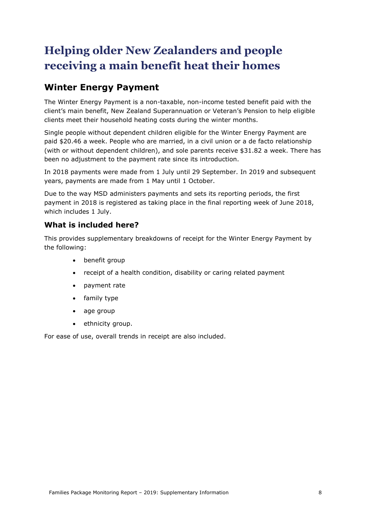## <span id="page-7-0"></span>**Helping older New Zealanders and people receiving a main benefit heat their homes**

## <span id="page-7-1"></span>**Winter Energy Payment**

<span id="page-7-2"></span>The Winter Energy Payment is a non-taxable, non-income tested benefit paid with the client's main benefit, New Zealand Superannuation or Veteran's Pension to help eligible clients meet their household heating costs during the winter months.

Single people without dependent children eligible for the Winter Energy Payment are paid \$20.46 a week. People who are married, in a civil union or a de facto relationship (with or without dependent children), and sole parents receive \$31.82 a week. There has been no adjustment to the payment rate since its introduction.

In 2018 payments were made from 1 July until 29 September. In 2019 and subsequent years, payments are made from 1 May until 1 October.

Due to the way MSD administers payments and sets its reporting periods, the first payment in 2018 is registered as taking place in the final reporting week of June 2018, which includes 1 July.

## **What is included here?**

This provides supplementary breakdowns of receipt for the Winter Energy Payment by the following:

- benefit group
- receipt of a health condition, disability or caring related payment
- payment rate
- family type
- age group
- ethnicity group.

For ease of use, overall trends in receipt are also included.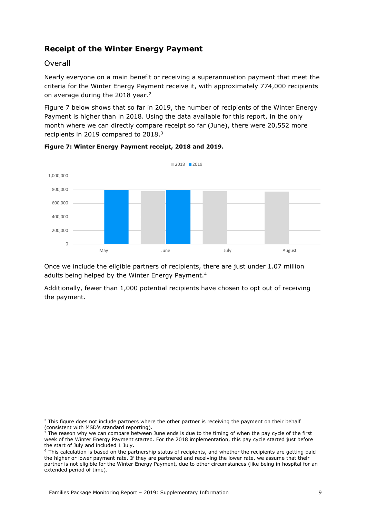## <span id="page-8-0"></span>**Receipt of the Winter Energy Payment**

### Overall

-

Nearly everyone on a main benefit or receiving a superannuation payment that meet the criteria for the Winter Energy Payment receive it, with approximately 774,000 recipients on average during the 2018 year.<sup>2</sup>

Figure 7 below shows that so far in 2019, the number of recipients of the Winter Energy Payment is higher than in 2018. Using the data available for this report, in the only month where we can directly compare receipt so far (June), there were 20,552 more recipients in 2019 compared to 2018.<sup>3</sup>



#### **Figure 7: Winter Energy Payment receipt, 2018 and 2019.**

Once we include the eligible partners of recipients, there are just under 1.07 million adults being helped by the Winter Energy Payment.<sup>4</sup>

Additionally, fewer than 1,000 potential recipients have chosen to opt out of receiving the payment.

<sup>&</sup>lt;sup>2</sup> This figure does not include partners where the other partner is receiving the payment on their behalf (consistent with MSD's standard reporting).

<sup>&</sup>lt;sup>3</sup> The reason why we can compare between June ends is due to the timing of when the pay cycle of the first week of the Winter Energy Payment started. For the 2018 implementation, this pay cycle started just before the start of July and included 1 July.

<sup>&</sup>lt;sup>4</sup> This calculation is based on the partnership status of recipients, and whether the recipients are getting paid the higher or lower payment rate. If they are partnered and receiving the lower rate, we assume that their partner is not eligible for the Winter Energy Payment, due to other circumstances (like being in hospital for an extended period of time).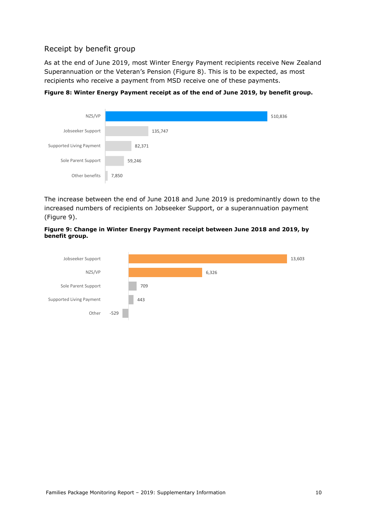## Receipt by benefit group

As at the end of June 2019, most Winter Energy Payment recipients receive New Zealand Superannuation or the Veteran's Pension ([Figure 8\)](#page-9-0). This is to be expected, as most recipients who receive a payment from MSD receive one of these payments.

| NZS/VP                   |         | 510,836 |
|--------------------------|---------|---------|
| Jobseeker Support        | 135,747 |         |
| Supported Living Payment | 82,371  |         |
| Sole Parent Support      | 59,246  |         |
| Other benefits           | 7,850   |         |

<span id="page-9-0"></span>**Figure 8: Winter Energy Payment receipt as of the end of June 2019, by benefit group.**

The increase between the end of June 2018 and June 2019 is predominantly down to the increased numbers of recipients on Jobseeker Support, or a superannuation payment [\(Figure 9\)](#page-9-1).

#### <span id="page-9-1"></span>**Figure 9: Change in Winter Energy Payment receipt between June 2018 and 2019, by benefit group.**

![](_page_9_Figure_6.jpeg)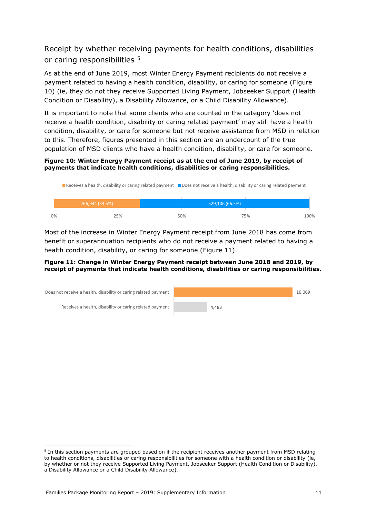Receipt by whether receiving payments for health conditions, disabilities or caring responsibilities <sup>5</sup>

As at the end of June 2019, most Winter Energy Payment recipients do not receive a payment related to having a health condition, disability, or caring for someone [\(Figure](#page-10-0)  [10\)](#page-10-0) (ie, they do not they receive Supported Living Payment, Jobseeker Support (Health Condition or Disability), a Disability Allowance, or a Child Disability Allowance).

It is important to note that some clients who are counted in the category 'does not receive a health condition, disability or caring related payment' may still have a health condition, disability, or care for someone but not receive assistance from MSD in relation to this. Therefore, figures presented in this section are an undercount of the true population of MSD clients who have a health condition, disability, or care for someone.

#### <span id="page-10-0"></span>**Figure 10: Winter Energy Payment receipt as at the end of June 2019, by receipt of payments that indicate health conditions, disabilities or caring responsibilities.**

|    | <b>Receives a health, disability or caring related payment</b> Does not receive a health, disability or caring related payment |  |     |                 |     |      |
|----|--------------------------------------------------------------------------------------------------------------------------------|--|-----|-----------------|-----|------|
|    | 266.944 (33.5%)                                                                                                                |  |     | 529,106 (66.5%) |     |      |
| 0% | 25%                                                                                                                            |  | 50% |                 | 75% | 100% |

Most of the increase in Winter Energy Payment receipt from June 2018 has come from benefit or superannuation recipients who do not receive a payment related to having a health condition, disability, or caring for someone [\(Figure 11\)](#page-10-1).

#### <span id="page-10-1"></span>**Figure 11: Change in Winter Energy Payment receipt between June 2018 and 2019, by receipt of payments that indicate health conditions, disabilities or caring responsibilities.**

![](_page_10_Figure_7.jpeg)

<sup>-</sup><sup>5</sup> In this section payments are grouped based on if the recipient receives another payment from MSD relating to health conditions, disabilities or caring responsibilities for someone with a health condition or disability (ie, by whether or not they receive Supported Living Payment, Jobseeker Support (Health Condition or Disability), a Disability Allowance or a Child Disability Allowance).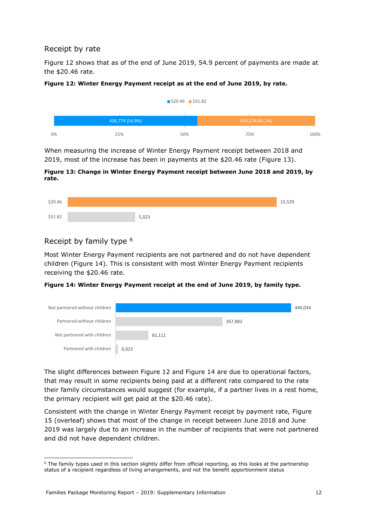## Receipt by rate

[Figure 12](#page-11-0) shows that as of the end of June 2019, 54.9 percent of payments are made at the \$20.46 rate.

#### <span id="page-11-0"></span>**Figure 12: Winter Energy Payment receipt as at the end of June 2019, by rate.**

![](_page_11_Figure_3.jpeg)

When measuring the increase of Winter Energy Payment receipt between 2018 and 2019, most of the increase has been in payments at the \$20.46 rate [\(Figure 13\)](#page-11-1).

#### <span id="page-11-1"></span>**Figure 13: Change in Winter Energy Payment receipt between June 2018 and 2019, by rate.**

![](_page_11_Figure_6.jpeg)

## Receipt by family type <sup>6</sup>

-

Most Winter Energy Payment recipients are not partnered and do not have dependent children [\(Figure 14\)](#page-11-2). This is consistent with most Winter Energy Payment recipients receiving the \$20.46 rate.

#### <span id="page-11-2"></span>**Figure 14: Winter Energy Payment receipt at the end of June 2019, by family type.**

| Not partnered without children |       |        |         | 440,034 |
|--------------------------------|-------|--------|---------|---------|
| Partnered without children     |       |        | 267,882 |         |
| Not partnered with children    |       | 82,111 |         |         |
| Partnered with children        | 6,023 |        |         |         |

The slight differences between [Figure 12](#page-11-0) and [Figure 14](#page-11-2) are due to operational factors, that may result in some recipients being paid at a different rate compared to the rate their family circumstances would suggest (for example, if a partner lives in a rest home, the primary recipient will get paid at the \$20.46 rate).

Consistent with the change in Winter Energy Payment receipt by payment rate, [Figure](#page-12-0)  [15](#page-12-0) (overleaf) shows that most of the change in receipt between June 2018 and June 2019 was largely due to an increase in the number of recipients that were not partnered and did not have dependent children.

 $6$  The family types used in this section slightly differ from official reporting, as this looks at the partnership status of a recipient regardless of living arrangements, and not the benefit apportionment status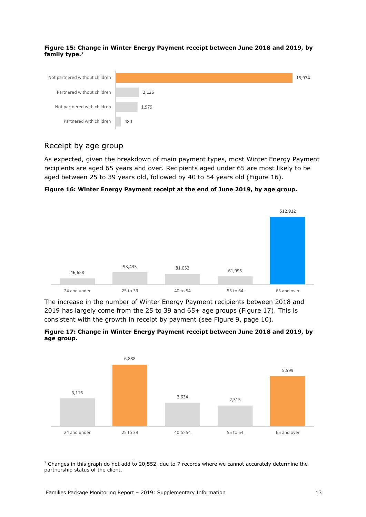#### <span id="page-12-0"></span>**Figure 15: Change in Winter Energy Payment receipt between June 2018 and 2019, by family type.<sup>7</sup>**

![](_page_12_Figure_1.jpeg)

### Receipt by age group

As expected, given the breakdown of main payment types, most Winter Energy Payment recipients are aged 65 years and over. Recipients aged under 65 are most likely to be aged between 25 to 39 years old, followed by 40 to 54 years old [\(Figure 16\)](#page-12-1).

<span id="page-12-1"></span>**Figure 16: Winter Energy Payment receipt at the end of June 2019, by age group.**

![](_page_12_Figure_5.jpeg)

The increase in the number of Winter Energy Payment recipients between 2018 and 2019 has largely come from the 25 to 39 and 65+ age groups [\(Figure 17\)](#page-12-2). This is consistent with the growth in receipt by payment (see [Figure 9,](#page-9-1) page [10\)](#page-9-1).

<span id="page-12-2"></span>![](_page_12_Figure_7.jpeg)

![](_page_12_Figure_8.jpeg)

- $7$  Changes in this graph do not add to 20,552, due to 7 records where we cannot accurately determine the partnership status of the client.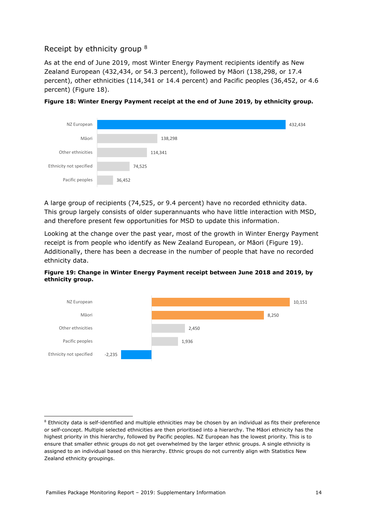## Receipt by ethnicity group <sup>8</sup>

As at the end of June 2019, most Winter Energy Payment recipients identify as New Zealand European (432,434, or 54.3 percent), followed by Māori (138,298, or 17.4 percent), other ethnicities (114,341 or 14.4 percent) and Pacific peoples (36,452, or 4.6 percent) [\(Figure 18\)](#page-13-0).

![](_page_13_Figure_2.jpeg)

<span id="page-13-0"></span>**Figure 18: Winter Energy Payment receipt at the end of June 2019, by ethnicity group.**

A large group of recipients (74,525, or 9.4 percent) have no recorded ethnicity data. This group largely consists of older superannuants who have little interaction with MSD, and therefore present few opportunities for MSD to update this information.

Looking at the change over the past year, most of the growth in Winter Energy Payment receipt is from people who identify as New Zealand European, or Māori ([Figure 19\)](#page-13-1). Additionally, there has been a decrease in the number of people that have no recorded ethnicity data.

<span id="page-13-1"></span>![](_page_13_Figure_6.jpeg)

![](_page_13_Figure_7.jpeg)

<sup>-</sup><sup>8</sup> Ethnicity data is self-identified and multiple ethnicities may be chosen by an individual as fits their preference or self-concept. Multiple selected ethnicities are then prioritised into a hierarchy. The Māori ethnicity has the highest priority in this hierarchy, followed by Pacific peoples. NZ European has the lowest priority. This is to ensure that smaller ethnic groups do not get overwhelmed by the larger ethnic groups. A single ethnicity is assigned to an individual based on this hierarchy. Ethnic groups do not currently align with Statistics New Zealand ethnicity groupings.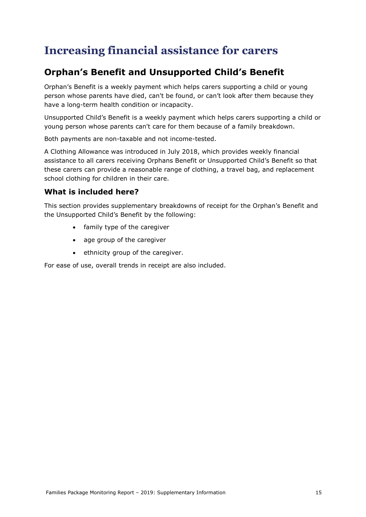## <span id="page-14-0"></span>**Increasing financial assistance for carers**

## <span id="page-14-1"></span>**Orphan's Benefit and Unsupported Child's Benefit**

Orphan's Benefit is a weekly payment which helps carers supporting a child or young person whose parents have died, can't be found, or can't look after them because they have a long-term health condition or incapacity.

Unsupported Child's Benefit is a weekly payment which helps carers supporting a child or young person whose parents can't care for them because of a family breakdown.

Both payments are non-taxable and not income-tested.

A Clothing Allowance was introduced in July 2018, which provides weekly financial assistance to all carers receiving Orphans Benefit or Unsupported Child's Benefit so that these carers can provide a reasonable range of clothing, a travel bag, and replacement school clothing for children in their care.

### <span id="page-14-2"></span>**What is included here?**

This section provides supplementary breakdowns of receipt for the Orphan's Benefit and the Unsupported Child's Benefit by the following:

- family type of the caregiver
- age group of the caregiver
- ethnicity group of the caregiver.

For ease of use, overall trends in receipt are also included.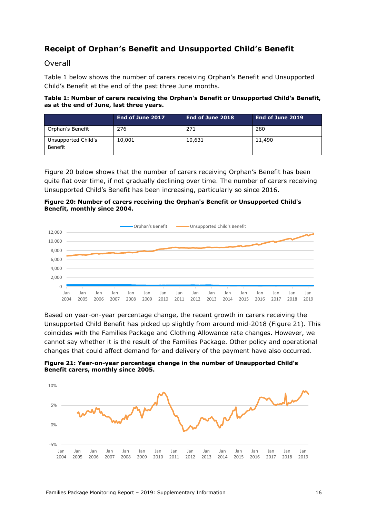## <span id="page-15-0"></span>**Receipt of Orphan's Benefit and Unsupported Child's Benefit**

#### Overall

[Table 1](#page-15-1) below shows the number of carers receiving Orphan's Benefit and Unsupported Child's Benefit at the end of the past three June months.

#### <span id="page-15-1"></span>**Table 1: Number of carers receiving the Orphan's Benefit or Unsupported Child's Benefit, as at the end of June, last three years.**

|                                | End of June 2017 | End of June 2018 | End of June 2019 |
|--------------------------------|------------------|------------------|------------------|
| Orphan's Benefit               | 276              | 271              | 280              |
| Unsupported Child's<br>Benefit | 10,001           | 10,631           | 11,490           |

[Figure 20](#page-15-2) below shows that the number of carers receiving Orphan's Benefit has been quite flat over time, if not gradually declining over time. The number of carers receiving Unsupported Child's Benefit has been increasing, particularly so since 2016.

<span id="page-15-2"></span>**Figure 20: Number of carers receiving the Orphan's Benefit or Unsupported Child's Benefit, monthly since 2004.**

![](_page_15_Figure_7.jpeg)

Based on year-on-year percentage change, the recent growth in carers receiving the Unsupported Child Benefit has picked up slightly from around mid-2018 [\(Figure 21\)](#page-15-3). This coincides with the Families Package and Clothing Allowance rate changes. However, we cannot say whether it is the result of the Families Package. Other policy and operational changes that could affect demand for and delivery of the payment have also occurred.

<span id="page-15-3"></span>**Figure 21: Year-on-year percentage change in the number of Unsupported Child's Benefit carers, monthly since 2005.**

![](_page_15_Figure_10.jpeg)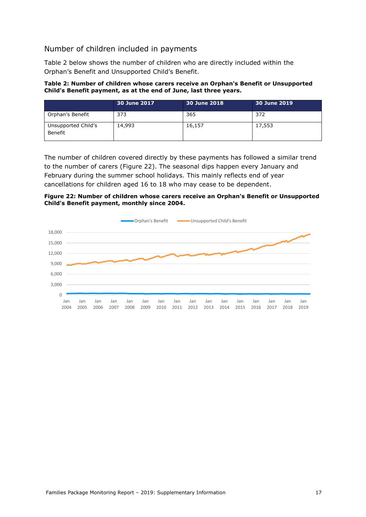## Number of children included in payments

[Table 2](#page-16-0) below shows the number of children who are directly included within the Orphan's Benefit and Unsupported Child's Benefit.

#### <span id="page-16-0"></span>**Table 2: Number of children whose carers receive an Orphan's Benefit or Unsupported Child's Benefit payment, as at the end of June, last three years.**

|                                | ' 30 June 2017 ا | 30 June 2018 | 30 June 2019 |
|--------------------------------|------------------|--------------|--------------|
| Orphan's Benefit               | 373              | 365          | 372          |
| Unsupported Child's<br>Benefit | 14,993           | 16,157       | 17,553       |

The number of children covered directly by these payments has followed a similar trend to the number of carers [\(Figure 22\)](#page-16-1). The seasonal dips happen every January and February during the summer school holidays. This mainly reflects end of year cancellations for children aged 16 to 18 who may cease to be dependent.

#### <span id="page-16-1"></span>**Figure 22: Number of children whose carers receive an Orphan's Benefit or Unsupported Child's Benefit payment, monthly since 2004.**

![](_page_16_Figure_6.jpeg)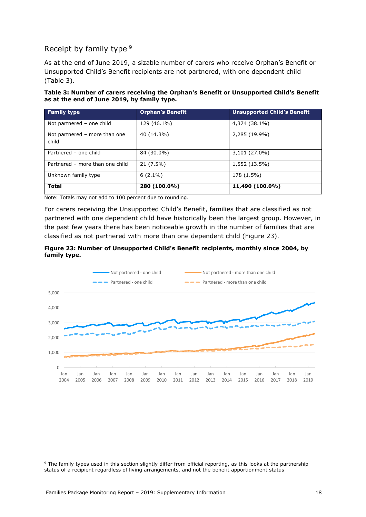## Receipt by family type <sup>9</sup>

As at the end of June 2019, a sizable number of carers who receive Orphan's Benefit or Unsupported Child's Benefit recipients are not partnered, with one dependent child [\(Table 3\)](#page-17-0).

<span id="page-17-0"></span>

| Table 3: Number of carers receiving the Orphan's Benefit or Unsupported Child's Benefit |
|-----------------------------------------------------------------------------------------|
| as at the end of June 2019, by family type.                                             |

| <b>Family type</b>                     | <b>Orphan's Benefit</b> | <b>Unsupported Child's Benefit</b> |
|----------------------------------------|-------------------------|------------------------------------|
| Not partnered - one child              | 129 (46.1%)             | 4,374 (38.1%)                      |
| Not partnered - more than one<br>child | 40 (14.3%)              | 2,285 (19.9%)                      |
| Partnered - one child                  | 84 (30.0%)              | 3,101 (27.0%)                      |
| Partnered - more than one child        | $21(7.5\%)$             | 1,552 (13.5%)                      |
| Unknown family type                    | $6(2.1\%)$              | 178 (1.5%)                         |
| <b>Total</b>                           | 280 (100.0%)            | 11,490 (100.0%)                    |

Note: Totals may not add to 100 percent due to rounding.

For carers receiving the Unsupported Child's Benefit, families that are classified as not partnered with one dependent child have historically been the largest group. However, in the past few years there has been noticeable growth in the number of families that are classified as not partnered with more than one dependent child [\(Figure 23\)](#page-17-1).

<span id="page-17-1"></span>![](_page_17_Figure_6.jpeg)

![](_page_17_Figure_7.jpeg)

-

<sup>&</sup>lt;sup>9</sup> The family types used in this section slightly differ from official reporting, as this looks at the partnership status of a recipient regardless of living arrangements, and not the benefit apportionment status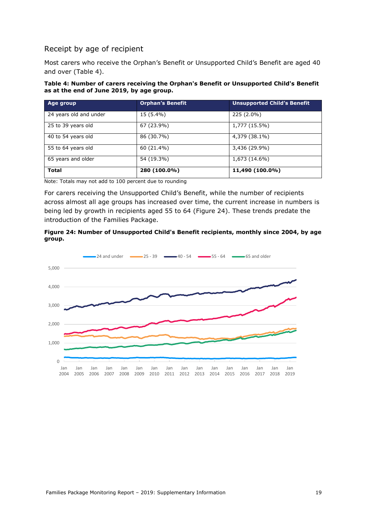## Receipt by age of recipient

Most carers who receive the Orphan's Benefit or Unsupported Child's Benefit are aged 40 and over [\(Table 4\)](#page-18-0).

#### <span id="page-18-0"></span>**Table 4: Number of carers receiving the Orphan's Benefit or Unsupported Child's Benefit as at the end of June 2019, by age group.**

| Age group              | <b>Orphan's Benefit</b> | <b>Unsupported Child's Benefit</b> |
|------------------------|-------------------------|------------------------------------|
| 24 years old and under | 15 (5.4%)               | 225 (2.0%)                         |
| 25 to 39 years old     | 67 (23.9%)              | 1,777 (15.5%)                      |
| 40 to 54 years old     | 86 (30.7%)              | 4,379 (38.1%)                      |
| 55 to 64 years old     | 60 (21.4%)              | 3,436 (29.9%)                      |
| 65 years and older     | 54 (19.3%)              | 1,673 (14.6%)                      |
| <b>Total</b>           | 280 (100.0%)            | 11,490 (100.0%)                    |

Note: Totals may not add to 100 percent due to rounding

For carers receiving the Unsupported Child's Benefit, while the number of recipients across almost all age groups has increased over time, the current increase in numbers is being led by growth in recipients aged 55 to 64 [\(Figure 24\)](#page-18-1). These trends predate the introduction of the Families Package.

<span id="page-18-1"></span>![](_page_18_Figure_6.jpeg)

![](_page_18_Figure_7.jpeg)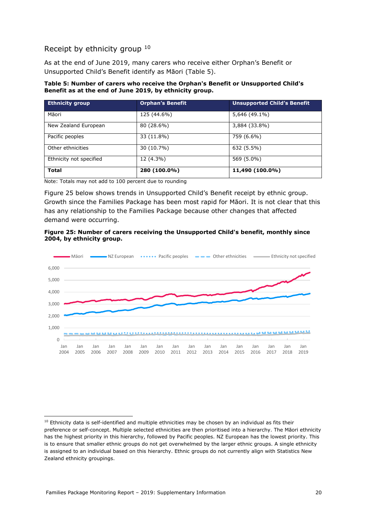## Receipt by ethnicity group <sup>10</sup>

As at the end of June 2019, many carers who receive either Orphan's Benefit or Unsupported Child's Benefit identify as Māori ([Table 5\)](#page-19-0).

#### <span id="page-19-0"></span>**Table 5: Number of carers who receive the Orphan's Benefit or Unsupported Child's Benefit as at the end of June 2019, by ethnicity group.**

| <b>Ethnicity group</b>  | <b>Orphan's Benefit</b> | <b>Unsupported Child's Benefit</b> |
|-------------------------|-------------------------|------------------------------------|
| Māori                   | 125 (44.6%)             | 5,646 (49.1%)                      |
| New Zealand European    | 80 (28.6%)              | 3,884 (33.8%)                      |
| Pacific peoples         | 33 (11.8%)              | 759 (6.6%)                         |
| Other ethnicities       | 30 (10.7%)              | 632 (5.5%)                         |
| Ethnicity not specified | 12 (4.3%)               | 569 (5.0%)                         |
| <b>Total</b>            | 280 (100.0%)            | 11,490 (100.0%)                    |

Note: Totals may not add to 100 percent due to rounding

[Figure 25](#page-19-1) below shows trends in Unsupported Child's Benefit receipt by ethnic group. Growth since the Families Package has been most rapid for Māori. It is not clear that this has any relationship to the Families Package because other changes that affected demand were occurring.

#### <span id="page-19-1"></span>**Figure 25: Number of carers receiving the Unsupported Child's benefit, monthly since 2004, by ethnicity group.**

![](_page_19_Figure_7.jpeg)

<sup>-</sup> $10$  Ethnicity data is self-identified and multiple ethnicities may be chosen by an individual as fits their preference or self-concept. Multiple selected ethnicities are then prioritised into a hierarchy. The Māori ethnicity has the highest priority in this hierarchy, followed by Pacific peoples. NZ European has the lowest priority. This is to ensure that smaller ethnic groups do not get overwhelmed by the larger ethnic groups. A single ethnicity is assigned to an individual based on this hierarchy. Ethnic groups do not currently align with Statistics New Zealand ethnicity groupings.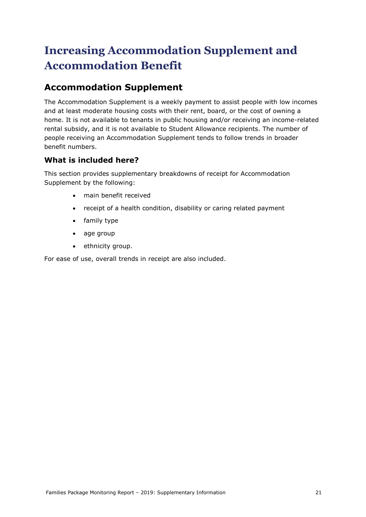## <span id="page-20-0"></span>**Increasing Accommodation Supplement and Accommodation Benefit**

## <span id="page-20-1"></span>**Accommodation Supplement**

<span id="page-20-2"></span>The Accommodation Supplement is a weekly payment to assist people with low incomes and at least moderate housing costs with their rent, board, or the cost of owning a home. It is not available to tenants in public housing and/or receiving an income-related rental subsidy, and it is not available to Student Allowance recipients. The number of people receiving an Accommodation Supplement tends to follow trends in broader benefit numbers.

## **What is included here?**

This section provides supplementary breakdowns of receipt for Accommodation Supplement by the following:

- main benefit received
- receipt of a health condition, disability or caring related payment
- family type
- age group
- ethnicity group.

For ease of use, overall trends in receipt are also included.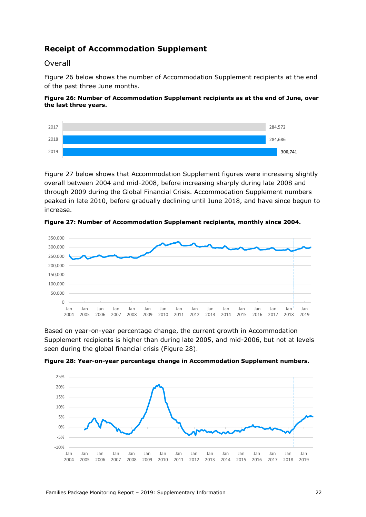## <span id="page-21-0"></span>**Receipt of Accommodation Supplement**

### Overall

[Figure 26](#page-21-1) below shows the number of Accommodation Supplement recipients at the end of the past three June months.

#### <span id="page-21-1"></span>**Figure 26: Number of Accommodation Supplement recipients as at the end of June, over the last three years.**

![](_page_21_Figure_4.jpeg)

[Figure 27](#page-21-2) below shows that Accommodation Supplement figures were increasing slightly overall between 2004 and mid-2008, before increasing sharply during late 2008 and through 2009 during the Global Financial Crisis. Accommodation Supplement numbers peaked in late 2010, before gradually declining until June 2018, and have since begun to increase.

<span id="page-21-2"></span>**Figure 27: Number of Accommodation Supplement recipients, monthly since 2004.**

![](_page_21_Figure_7.jpeg)

Based on year-on-year percentage change, the current growth in Accommodation Supplement recipients is higher than during late 2005, and mid-2006, but not at levels seen during the global financial crisis [\(Figure 28\)](#page-21-3).

<span id="page-21-3"></span>![](_page_21_Figure_9.jpeg)

![](_page_21_Figure_10.jpeg)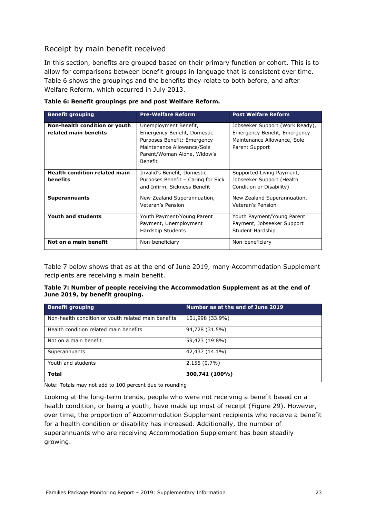## Receipt by main benefit received

In this section, benefits are grouped based on their primary function or cohort. This is to allow for comparisons between benefit groups in language that is consistent over time. [Table 6](#page-22-0) shows the groupings and the benefits they relate to both before, and after Welfare Reform, which occurred in July 2013.

| <b>Benefit grouping</b>                                | <b>Pre-Welfare Reform</b>                                                                                                                                   | <b>Post Welfare Reform</b>                                                                                       |
|--------------------------------------------------------|-------------------------------------------------------------------------------------------------------------------------------------------------------------|------------------------------------------------------------------------------------------------------------------|
| Non-health condition or youth<br>related main benefits | Unemployment Benefit,<br>Emergency Benefit, Domestic<br>Purposes Benefit: Emergency<br>Maintenance Allowance/Sole<br>Parent/Woman Alone, Widow's<br>Benefit | Jobseeker Support (Work Ready),<br>Emergency Benefit, Emergency<br>Maintenance Allowance, Sole<br>Parent Support |
| <b>Health condition related main</b><br>benefits       | Invalid's Benefit, Domestic<br>Purposes Benefit - Caring for Sick<br>and Infirm, Sickness Benefit                                                           | Supported Living Payment,<br>Jobseeker Support (Health<br>Condition or Disability)                               |
| <b>Superannuants</b>                                   | New Zealand Superannuation,<br>Veteran's Pension                                                                                                            | New Zealand Superannuation,<br>Veteran's Pension                                                                 |
| Youth and students                                     | Youth Payment/Young Parent<br>Payment, Unemployment<br>Hardship Students                                                                                    | Youth Payment/Young Parent<br>Payment, Jobseeker Support<br>Student Hardship                                     |
| Not on a main benefit                                  | Non-beneficiary                                                                                                                                             | Non-beneficiary                                                                                                  |

<span id="page-22-0"></span>**Table 6: Benefit groupings pre and post Welfare Reform.**

[Table 7](#page-22-1) below shows that as at the end of June 2019, many Accommodation Supplement recipients are receiving a main benefit.

<span id="page-22-1"></span>

| Table 7: Number of people receiving the Accommodation Supplement as at the end of |  |
|-----------------------------------------------------------------------------------|--|
| June 2019, by benefit grouping.                                                   |  |

| <b>Benefit grouping</b>                             | Number as at the end of June 2019 |
|-----------------------------------------------------|-----------------------------------|
| Non-health condition or youth related main benefits | 101,998 (33.9%)                   |
| Health condition related main benefits              | 94,728 (31.5%)                    |
| Not on a main benefit                               | 59,423 (19.8%)                    |
| Superannuants                                       | 42,437 (14.1%)                    |
| Youth and students                                  | 2,155 (0.7%)                      |
| <b>Total</b>                                        | 300,741 (100%)                    |

Note: Totals may not add to 100 percent due to rounding

Looking at the long-term trends, people who were not receiving a benefit based on a health condition, or being a youth, have made up most of receipt [\(Figure 29\)](#page-23-0). However, over time, the proportion of Accommodation Supplement recipients who receive a benefit for a health condition or disability has increased. Additionally, the number of superannuants who are receiving Accommodation Supplement has been steadily growing.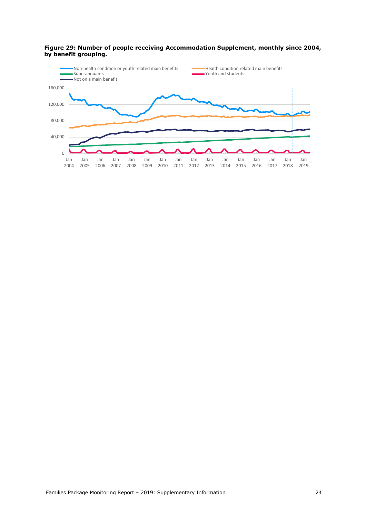![](_page_23_Figure_0.jpeg)

#### <span id="page-23-0"></span>**Figure 29: Number of people receiving Accommodation Supplement, monthly since 2004, by benefit grouping.**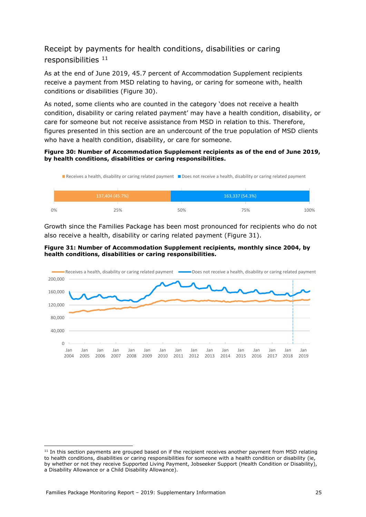## Receipt by payments for health conditions, disabilities or caring responsibilities <sup>11</sup>

As at the end of June 2019, 45.7 percent of Accommodation Supplement recipients receive a payment from MSD relating to having, or caring for someone with, health conditions or disabilities [\(Figure 30\)](#page-24-0).

As noted, some clients who are counted in the category 'does not receive a health condition, disability or caring related payment' may have a health condition, disability, or care for someone but not receive assistance from MSD in relation to this. Therefore, figures presented in this section are an undercount of the true population of MSD clients who have a health condition, disability, or care for someone.

#### <span id="page-24-0"></span>**Figure 30: Number of Accommodation Supplement recipients as of the end of June 2019, by health conditions, disabilities or caring responsibilities.**

![](_page_24_Figure_4.jpeg)

Growth since the Families Package has been most pronounced for recipients who do not also receive a health, disability or caring related payment [\(Figure 31\)](#page-24-1).

#### <span id="page-24-1"></span>**Figure 31: Number of Accommodation Supplement recipients, monthly since 2004, by health conditions, disabilities or caring responsibilities.**

![](_page_24_Figure_7.jpeg)

-

<sup>&</sup>lt;sup>11</sup> In this section payments are grouped based on if the recipient receives another payment from MSD relating to health conditions, disabilities or caring responsibilities for someone with a health condition or disability (ie, by whether or not they receive Supported Living Payment, Jobseeker Support (Health Condition or Disability), a Disability Allowance or a Child Disability Allowance).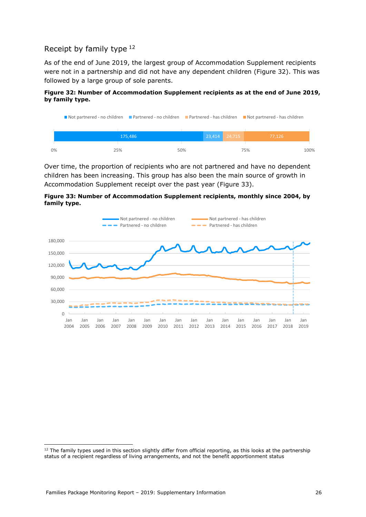## Receipt by family type <sup>12</sup>

As of the end of June 2019, the largest group of Accommodation Supplement recipients were not in a partnership and did not have any dependent children [\(Figure 32\)](#page-25-0). This was followed by a large group of sole parents.

#### <span id="page-25-0"></span>**Figure 32: Number of Accommodation Supplement recipients as at the end of June 2019, by family type.**

| Not partnered - no children Partnered - no children Partnered - has children Not partnered - has children |            |  |  |                   |  |        |      |
|-----------------------------------------------------------------------------------------------------------|------------|--|--|-------------------|--|--------|------|
|                                                                                                           |            |  |  |                   |  |        |      |
|                                                                                                           | 175,486    |  |  | $23,414$ $24,715$ |  | 77.126 |      |
|                                                                                                           |            |  |  |                   |  |        |      |
| 0%                                                                                                        | 50%<br>25% |  |  | 75%               |  |        | 100% |

Over time, the proportion of recipients who are not partnered and have no dependent children has been increasing. This group has also been the main source of growth in Accommodation Supplement receipt over the past year [\(Figure 33\)](#page-25-1).

<span id="page-25-1"></span>![](_page_25_Figure_5.jpeg)

![](_page_25_Figure_6.jpeg)

-

<sup>&</sup>lt;sup>12</sup> The family types used in this section slightly differ from official reporting, as this looks at the partnership status of a recipient regardless of living arrangements, and not the benefit apportionment status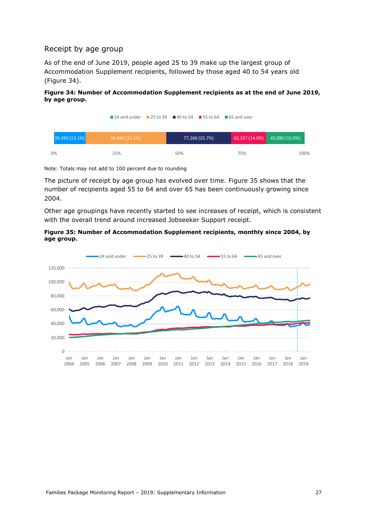## Receipt by age group

As of the end of June 2019, people aged 25 to 39 make up the largest group of Accommodation Supplement recipients, followed by those aged 40 to 54 years old [\(Figure 34\)](#page-26-0).

#### <span id="page-26-0"></span>**Figure 34: Number of Accommodation Supplement recipients as at the end of June 2019, by age group.**

|                | $\blacksquare$ 24 and under $\blacksquare$ 25 to 39 $\blacksquare$ 40 to 54 $\blacksquare$ 55 to 64 $\blacksquare$ 65 and over |     |                |     |                               |      |
|----------------|--------------------------------------------------------------------------------------------------------------------------------|-----|----------------|-----|-------------------------------|------|
| 39,393 (13.1%) |                                                                                                                                |     | 77,266 (25.7%) |     | 42,157 (14.0%) 45,080 (15.0%) |      |
|                | 96,845 (32.2%)                                                                                                                 |     |                |     |                               |      |
| 0%             | 25%                                                                                                                            | 50% |                | 75% |                               | 100% |

Note: Totals may not add to 100 percent due to rounding

The picture of receipt by age group has evolved over time. [Figure 35](#page-26-1) shows that the number of recipients aged 55 to 64 and over 65 has been continuously growing since 2004.

Other age groupings have recently started to see increases of receipt, which is consistent with the overall trend around increased Jobseeker Support receipt.

<span id="page-26-1"></span>![](_page_26_Figure_7.jpeg)

![](_page_26_Figure_8.jpeg)